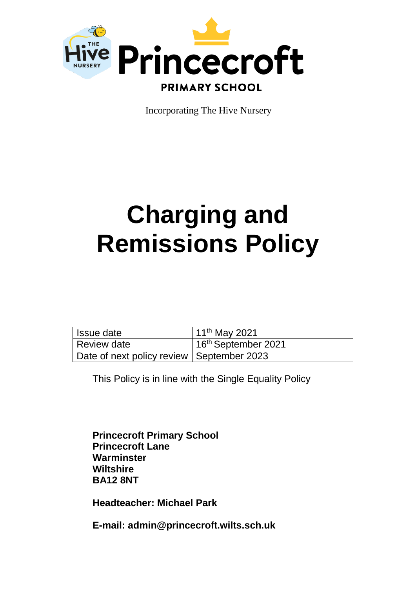

Incorporating The Hive Nursery

# **Charging and Remissions Policy**

| l Issue date                              | 11 <sup>th</sup> May 2021       |
|-------------------------------------------|---------------------------------|
| Review date                               | 16 <sup>th</sup> September 2021 |
| Date of next policy review September 2023 |                                 |

This Policy is in line with the Single Equality Policy

**Princecroft Primary School Princecroft Lane Warminster Wiltshire BA12 8NT**

**Headteacher: Michael Park**

**E-mail: admin@princecroft.wilts.sch.uk**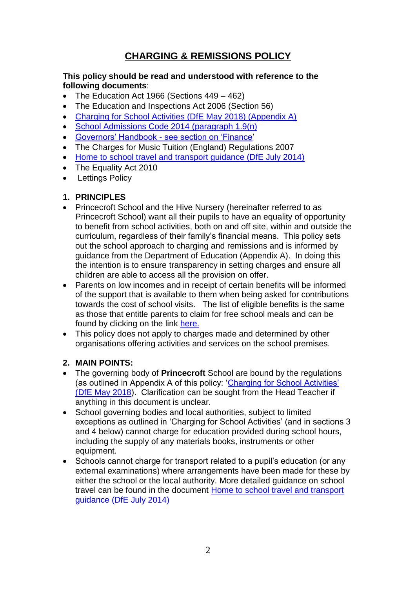## **CHARGING & REMISSIONS POLICY**

#### **This policy should be read and understood with reference to the following documents**:

- The Education Act 1966 (Sections 449 462)
- The Education and Inspections Act 2006 (Section 56)
- [Charging for School Activities \(DfE May 2018\) \(Appendix A\)](https://assets.publishing.service.gov.uk/government/uploads/system/uploads/attachment_data/file/706830/Charging_for_school_activities.pdf)
- [School Admissions Code 2014](https://www.gov.uk/government/uploads/system/uploads/attachment_data/file/389388/School_Admissions_Code_2014_-_19_Dec.pdf) (paragraph 1.9(n)
- Governors' Handbook [see section on 'Finance'](https://assets.publishing.service.gov.uk/government/uploads/system/uploads/attachment_data/file/925104/Governance_Handbook_FINAL.pdf)
- The Charges for Music Tuition (England) Regulations 2007
- [Home to school travel and transport guidance \(DfE July 2014\)](https://assets.publishing.service.gov.uk/government/uploads/system/uploads/attachment_data/file/575323/Home_to_school_travel_and_transport_guidance.pdf)
- The Equality Act 2010
- Lettings Policy

#### **1. PRINCIPLES**

- Princecroft School and the Hive Nursery (hereinafter referred to as Princecroft School) want all their pupils to have an equality of opportunity to benefit from school activities, both on and off site, within and outside the curriculum, regardless of their family's financial means. This policy sets out the school approach to charging and remissions and is informed by guidance from the Department of Education (Appendix A). In doing this the intention is to ensure transparency in setting charges and ensure all children are able to access all the provision on offer.
- Parents on low incomes and in receipt of certain benefits will be informed of the support that is available to them when being asked for contributions towards the cost of school visits. The list of eligible benefits is the same as those that entitle parents to claim for free school meals and can be found by clicking on the link [here.](https://www.gov.uk/apply-free-school-meals)
- This policy does not apply to charges made and determined by other organisations offering activities and services on the school premises.

### **2. MAIN POINTS:**

- The governing body of **Princecroft** School are bound by the regulations (as outlined in Appendix A of this policy: ['Charging for School Activities'](https://assets.publishing.service.gov.uk/government/uploads/system/uploads/attachment_data/file/706830/Charging_for_school_activities.pdf)  [\(DfE May 2018\)](https://assets.publishing.service.gov.uk/government/uploads/system/uploads/attachment_data/file/706830/Charging_for_school_activities.pdf). Clarification can be sought from the Head Teacher if anything in this document is unclear.
- School governing bodies and local authorities, subject to limited exceptions as outlined in 'Charging for School Activities' (and in sections 3 and 4 below) cannot charge for education provided during school hours, including the supply of any materials books, instruments or other equipment.
- Schools cannot charge for transport related to a pupil's education (or any external examinations) where arrangements have been made for these by either the school or the local authority. More detailed guidance on school travel can be found in the document [Home to school travel and transport](https://assets.publishing.service.gov.uk/government/uploads/system/uploads/attachment_data/file/575323/Home_to_school_travel_and_transport_guidance.pdf)  [guidance \(DfE July 2014\)](https://assets.publishing.service.gov.uk/government/uploads/system/uploads/attachment_data/file/575323/Home_to_school_travel_and_transport_guidance.pdf)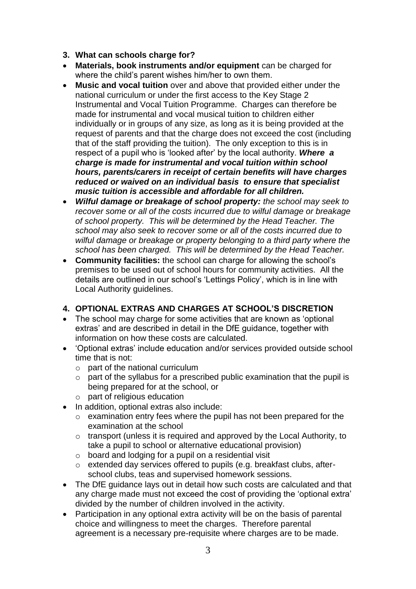- **3. What can schools charge for?**
- **Materials, book instruments and/or equipment** can be charged for where the child's parent wishes him/her to own them.
- **Music and vocal tuition** over and above that provided either under the national curriculum or under the first access to the Key Stage 2 Instrumental and Vocal Tuition Programme. Charges can therefore be made for instrumental and vocal musical tuition to children either individually or in groups of any size, as long as it is being provided at the request of parents and that the charge does not exceed the cost (including that of the staff providing the tuition). The only exception to this is in respect of a pupil who is 'looked after' by the local authority. *Where a charge is made for instrumental and vocal tuition within school hours, parents/carers in receipt of certain benefits will have charges reduced or waived on an individual basis to ensure that specialist music tuition is accessible and affordable for all children.*
- *Wilful damage or breakage of school property: the school may seek to recover some or all of the costs incurred due to wilful damage or breakage of school property. This will be determined by the Head Teacher. The school may also seek to recover some or all of the costs incurred due to wilful damage or breakage or property belonging to a third party where the school has been charged. This will be determined by the Head Teacher.*
- **Community facilities:** the school can charge for allowing the school's premises to be used out of school hours for community activities. All the details are outlined in our school's 'Lettings Policy', which is in line with Local Authority guidelines.

#### **4. OPTIONAL EXTRAS AND CHARGES AT SCHOOL'S DISCRETION**

- The school may charge for some activities that are known as 'optional extras' and are described in detail in the DfE guidance, together with information on how these costs are calculated.
- 'Optional extras' include education and/or services provided outside school time that is not:
	- o part of the national curriculum
	- o part of the syllabus for a prescribed public examination that the pupil is being prepared for at the school, or
	- o part of religious education
- In addition, optional extras also include:
	- o examination entry fees where the pupil has not been prepared for the examination at the school
	- o transport (unless it is required and approved by the Local Authority, to take a pupil to school or alternative educational provision)
	- o board and lodging for a pupil on a residential visit
	- o extended day services offered to pupils (e.g. breakfast clubs, afterschool clubs, teas and supervised homework sessions.
- The DfE guidance lays out in detail how such costs are calculated and that any charge made must not exceed the cost of providing the 'optional extra' divided by the number of children involved in the activity.
- Participation in any optional extra activity will be on the basis of parental choice and willingness to meet the charges. Therefore parental agreement is a necessary pre-requisite where charges are to be made.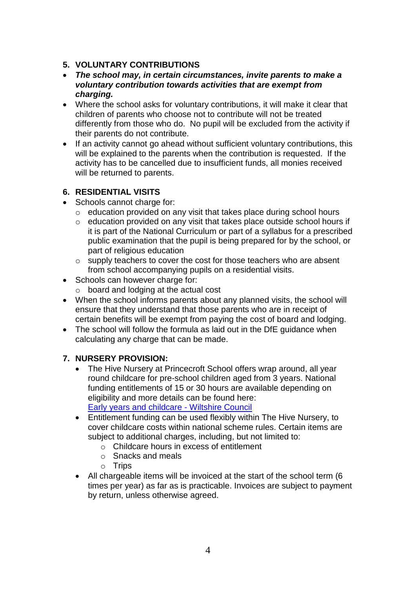#### **5. VOLUNTARY CONTRIBUTIONS**

- *The school may, in certain circumstances, invite parents to make a voluntary contribution towards activities that are exempt from charging.*
- Where the school asks for voluntary contributions, it will make it clear that children of parents who choose not to contribute will not be treated differently from those who do. No pupil will be excluded from the activity if their parents do not contribute.
- If an activity cannot go ahead without sufficient voluntary contributions, this will be explained to the parents when the contribution is requested. If the activity has to be cancelled due to insufficient funds, all monies received will be returned to parents.

#### **6. RESIDENTIAL VISITS**

- Schools cannot charge for:
	- o education provided on any visit that takes place during school hours
	- o education provided on any visit that takes place outside school hours if it is part of the National Curriculum or part of a syllabus for a prescribed public examination that the pupil is being prepared for by the school, or part of religious education
	- o supply teachers to cover the cost for those teachers who are absent from school accompanying pupils on a residential visits.
- Schools can however charge for:
	- o board and lodging at the actual cost
- When the school informs parents about any planned visits, the school will ensure that they understand that those parents who are in receipt of certain benefits will be exempt from paying the cost of board and lodging.
- The school will follow the formula as laid out in the DfE guidance when calculating any charge that can be made.

### **7. NURSERY PROVISION:**

- The Hive Nursery at Princecroft School offers wrap around, all year round childcare for pre-school children aged from 3 years. National funding entitlements of 15 or 30 hours are available depending on eligibility and more details can be found here: [Early years and childcare -](https://www.wiltshire.gov.uk/child-care) Wiltshire Council
- Entitlement funding can be used flexibly within The Hive Nursery, to cover childcare costs within national scheme rules. Certain items are subject to additional charges, including, but not limited to:
	- o Childcare hours in excess of entitlement
	- o Snacks and meals
	- o Trips
- All chargeable items will be invoiced at the start of the school term (6 times per year) as far as is practicable. Invoices are subject to payment by return, unless otherwise agreed.